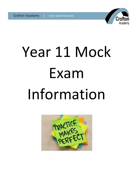# Crofto

# Year 11 Mock Exam Information

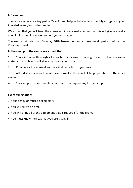#### **Information**

The mock exams are a key part of Year 11 and help us to be able to identify any gaps in your knowledge and/ or understanding.

We expect that you will treat the exams as if it was a real exam so that this will give us a really good indication of how we can help you to progress.

The exams will start on Monday **30th November** for a three week period before the Christmas break.

#### **In the run up to the exams we expect that:**

1. You will revise thoroughly for each of your exams making the most of any revision material that subjects will give you/ direct you to use.

2. Complete all homework as this will directly link to your exams.

3. Attend all after school boosters as normal as these will all be preparation for the mock exams.

4. Seek support from your class teacher if you require any further support

#### **Exam expectations**

- 1. Your behavior must be exemplary
- 2. You will arrive on time.
- 3. You will bring all of the equipment that is required for the exam.
- 4. You must know the seat that you are sitting in.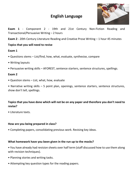# **English Language**



**Exam 1** - Component 2 - 19th and 21st Century Non-Fiction Reading and Transactional/Persuasive Writing – 2 hours

**Exam 2** - 20th Century Literature Reading and Creative Prose Writing – 1 hour 45 minutes

# **Topics that you will need to revise**

# **Exam 1**

- Questions stems List/find, how, what, evaluate, synthesise, compare
- Writing layouts
- Persuasive writing skills AFOREST, sentence starters, sentence structures, spellings.

# **Exam 2**

• Question stems – List, what, how, evaluate

• Narrative writing skills – 5 point plan, openings, sentence starters, sentence structures, show don't tell, spellings.

# **Topics that you have done which will not be on any paper and therefore you don't need to revise?**

• Literature texts.

# **How are you being prepared in class?**

• Completing papers, consolidating previous work. Revising key ideas.

# **What homework have you been given in the run up to the mocks?**

• You have already had revision sheets over half term (staff discussed how to use them along with revision techniques).

- Planning stories and writing tasks.
- Attempting key question types for the reading papers.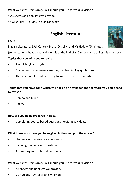#### **What websites/ revision guides should you use for your revision?**

- A3 sheets and booklets we provide.
- CGP guides Eduqas English Language

# **English Literature**

#### **Exam**

English Literature: 19th Century Prose: Dr Jekyll and Mr Hyde – 45 minutes

(some students have already done this at the End of Y10 so won't be doing this mock exam)

# **Topics that you will need to revise**

- Plot of Jekyll and Hyde
- Characters what events are they involved in, key quotations.
- Themes what events are they focused on and key quotations.

# **Topics that you have done which will not be on any paper and therefore you don't need to revise?**

- Romeo and Juliet
- Poetry

#### **How are you being prepared in class?**

Completing source based questions. Revising key ideas.

#### **What homework have you been given in the run up to the mocks?**

- Students will receive revision sheets
- Planning source based questions.
- Attempting source based questions.

# **What websites/ revision guides should you use for your revision?**

- A3 sheets and booklets we provide.
- CGP guides Dr Jekyll and Mr Hyde.

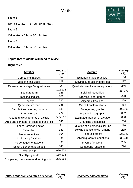# **Maths**

# **Exam 1**

Non calculator – 1 hour 30 minutes

# **Exam 2**

Calculator – 1 hour 30 minutes

# **Exam 3**

Calculator – 1 hour 30 minutes

# **Topics that students will need to revise**

# **Higher tier**

| <b>Number</b>                             | <b>Hegarty</b><br><b>Clip</b> | <b>Algebra</b>                   | <b>Hegarty</b><br><b>Clip</b> |
|-------------------------------------------|-------------------------------|----------------------------------|-------------------------------|
| Compound interest                         | 94                            | Expanding triple brackets        | 166                           |
| Use of a calculator                       | 129                           | Solving quadratic inequalities   | 277                           |
| Reverse percentage / original value       | 96                            | Quadratic simultaneous equations | 246                           |
| Standard form                             | 122,123<br>126                | Solving inequalities             | 269,272                       |
| <b>Fractional indices</b>                 | 108                           | Drawing linear graphs            | 208                           |
| Density                                   | 730                           | Algebraic fractions              | 229                           |
| Quadratic nth term                        | 248                           | <b>Graph transformations</b>     | 313                           |
| Calculations involving bounds             | 139                           | Recognising graphs               | 302,303                       |
| Error intervals                           | 774                           | Area under a graphs              | 892                           |
| Area and circumference of a circle        | 535,539                       | Estimated gradient of a curve    | 890                           |
| Area and perimeter of sectors of a circle | 546                           | Changing the subject             | 286                           |
| <b>Highest Common Factor</b>              | 31                            | Equation of a perpendicular line | 216                           |
| Estimation                                | 131                           | Solving equations with graphs    | 219                           |
| Negative indices                          | 104                           | Algebraic proofs                 | 325,327                       |
| Multiplying fractions                     | 69                            | Solving quadratic equations      | 233,244                       |
| Percentages to fractions                  | 82                            | Inverse functions                | 295                           |
| Exact trigonometric values                | 845                           | <b>Compound functions</b>        | 294                           |
| Product rule                              | 670,671                       |                                  |                               |
| Simplifying surds                         | 115,118                       |                                  |                               |
| Completing the square and turning points  | 235,256                       |                                  |                               |



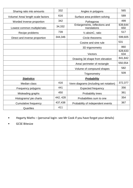| Sharing ratio into amounts         | 332      | Angles in polygons                            | 565            |
|------------------------------------|----------|-----------------------------------------------|----------------|
| Volume/ Area/ length scale factors | 616      | Surface area problem solving                  | 589            |
| Worded Inverse proportion          | 342      | Pythagoras                                    | 499            |
| Lowest common multiple/ratio       | 34,332   | Enlargements, reflections and<br>translations | 639,644<br>650 |
| Recipe problems                    | 739      | $\frac{1}{2}$ absinC, ratio                   | 517            |
| Direct and inverse proportion      | 344,346  | Circle theorems                               | 599,605        |
|                                    |          | Cosine and sine rule                          | 531            |
|                                    |          | 3D trigonometry                               | 860            |
|                                    |          | Vectors                                       | 628,633<br>634 |
|                                    |          | Drawing 3d shape from elevation               | 841,842        |
|                                    |          | Area/ perimeter of rectangle                  | 550,554        |
|                                    |          | Volume of compound shapes                     | 582            |
|                                    |          | Trigonometry                                  | 509            |
| <b>Statistics</b>                  |          | Probability                                   |                |
| Median class                       | 416      | Venn diagrams (including set notation)        | 372,377        |
| Frequency polygons                 | 441      | <b>Expected frequency</b>                     | 356            |
| Misleading graphs                  | 450      | <b>Probability trees</b>                      | 361            |
| Histograms/ pie charts             | 442, 428 | Probabilities sum to one                      | 354            |
| <b>Cumulative frequency</b>        | 437,438  | Probability of independent events             | 367            |
| Quartiles                          | 411      |                                               |                |

• Hegarty Maths – (personal login- see Mr Cook if you have forgot your details)

• GCSE Bitesize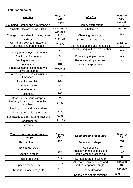# **Foundation paper**

| <b>Number</b>                                             | <b>Hegarty</b><br><b>Clip</b> | <b>Algebra</b>                           | <b>Hegarty</b><br><b>Clip</b> |
|-----------------------------------------------------------|-------------------------------|------------------------------------------|-------------------------------|
|                                                           | 17,774                        |                                          | 156,158                       |
| Rounding Number and error intervals                       |                               | Simplify expressions                     | 159                           |
| Multiples, factors, primes, HCF                           | 33,27,28,31                   | Substitution                             | 155,189                       |
| Change in units (length, mass, time)                      | 692,695<br>710                | Changing the subject                     | 281                           |
| <b>Indices</b>                                            | 102,173                       | Simultaneous equations                   | 193                           |
| Converting between Fractions,<br>decimals and percentages | 82,52,55                      | Solving equations and inequalities       | 178,179,<br>272               |
| Finding percentage of amounts                             | 87                            | Showing inequalities on a number<br>line | 265                           |
| <b>Fractions of amounts</b>                               | 77                            | Expanding single brackets                | 160                           |
| Writing as a fraction                                     | 62                            | Factorising single brackets              | 168                           |
| Estimation                                                | 131                           | Writing expressions                      | 153                           |
| Financial maths (using money to<br>solve problems)        | 745,746                       |                                          |                               |
| Following sequences (including<br>Fibonacci)              | 197,263                       |                                          |                               |
| Use of a calculator                                       | 129                           |                                          |                               |
| Compound interest                                         | 94                            |                                          |                               |
| Order of operations                                       | 24                            |                                          |                               |
| <b>Midpoints</b>                                          | 200                           |                                          |                               |
| Reading time series graphs                                | 450                           |                                          |                               |
| <b>Ordering Fractions and negative</b><br>numbers         | 37,60                         |                                          |                               |
| Reading/ using train time tables                          |                               |                                          |                               |
| Multiplying and dividing integers                         | 21,22                         |                                          |                               |
| Subtracting and multiplying fractions                     | 66,69                         |                                          |                               |
| Standard form                                             | 122,123                       |                                          |                               |
| Vectors                                                   | 626                           |                                          |                               |

| <b>Ratio, proportion and rates of</b><br>change | <b>Hegarty</b><br><b>Clip</b> | <b>Geometry and Measures</b>                                 | <b>Hegarty</b><br><b>Clip</b> |
|-------------------------------------------------|-------------------------------|--------------------------------------------------------------|-------------------------------|
| Ratio to fraction                               | 330                           | Perimeter of shapes                                          | 551                           |
| Exchange rates                                  | 707                           | Use of scale                                                 | 864                           |
| Sharing in ratios                               | 332                           | Angles in triangles (including<br>equilateral and isosceles) | 486                           |
| Recipe problems                                 | 739                           | Surface area of a cylinder                                   | 589                           |
| 719,721<br>Speed distance time                  |                               | Alternate, corresponding and<br>vertically opposite angles   | 815,480<br>483                |
| Ratio in unitary form (n:1)                     | 331                           | 3D shape drawings                                            | 841,842                       |
|                                                 |                               | Reflections and translations                                 | 639,650                       |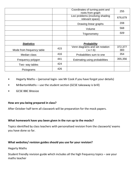|                           |     | Coordinates of turning point and<br>roots from graph | 255            |
|---------------------------|-----|------------------------------------------------------|----------------|
|                           |     | Loci problems (involving shading<br>relevant space)  | 676,679        |
|                           |     | Drawing linear graphs                                | 208            |
|                           |     | Volume                                               | 568            |
|                           |     | Trigonometry                                         | 509            |
|                           |     |                                                      |                |
| <b>Statistics</b>         |     | <b>Probability</b>                                   |                |
| Mode from frequency table | 415 | Venn diagrams and set notation<br>$a \cap b$         | 372,377<br>383 |
| Median class              | 416 | Probabilities sum to one                             | 354            |
| Frequency polygon         | 441 | Estimating using probabilities                       | 355,356        |
| Two- way tables           | 424 |                                                      |                |
| Pictograms                | 426 |                                                      |                |

- Hegarty Maths (personal login-see Mr Cook if you have forgot your details)
- MrBartonMaths use the student section (GCSE takeaway is brill)
- GCSE BBC Bitesize

#### **How are you being prepared in class?**

After October half term all classwork will be preparation for the mock papers.

# **What homework have you been given in the run up to the mocks?**

Topics identified by class teachers with personalised revision from the classwork/ exams you have done so far.

#### **What websites/ revision guides should you use for your revision?**

Hegarty Maths

Student friendly revision guide which includes all the high frequency topics – see your maths teacher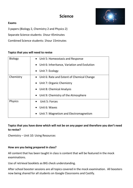

# **Exams**

3 papers (Biology 2, Chemistry 2 and Physics 2)

Separate Science students: 1hour 45minutes

Combined Science students: 1hour 15minutes

#### **Topics that you will need to revise**

| <b>Biology</b> | • Unit 5: Homeostasis and Response             |
|----------------|------------------------------------------------|
|                | • Unit 6: Inheritance, Variation and Evolution |
|                | • Unit 7: Ecology                              |
| Chemistry      | • Unit 6: Rate and Extent of Chemical Change   |
|                | • Unit 7: Organic Chemistry                    |
|                | • Unit 8: Chemical Analysis                    |
|                | • Unit 9: Chemistry of the Atmosphere          |
| <b>Physics</b> | Unit 5: Forces                                 |
|                | Unit 6: Waves                                  |
|                | Unit 7: Magnetism and Electromagnetism         |

# **Topics that you have done which will not be on any paper and therefore you don't need to revise?**

Chemistry – Unit 10: Using Resources

#### **How are you being prepared in class?**

All content that has been taught in class is content that will be featured in the mock examinations.

Use of retrieval booklets as BIG check understanding.

After school booster sessions are all topics covered in the mock examination. All boosters now being shared for all students on Google Classrooms and Castify.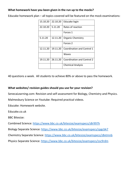#### **What homework have you been given in the run up to the mocks?**

Educake homework plan – all topics covered will be featured on the mock examinations:

| 15.10.20 | 22.10.20 | Educake login                     |
|----------|----------|-----------------------------------|
| 22.10.20 | 5.11.20  | Rates of reaction                 |
|          |          | Forces 1                          |
| 5.11.20  | 12.11.20 | <b>Organic Chemistry</b>          |
|          |          | Forces 2                          |
| 12.11.20 | 19.11.20 | Coordination and Control 1        |
|          |          | Waves                             |
| 19.11.20 | 26.11.20 | <b>Coordination and Control 2</b> |
|          |          | <b>Chemical Analysis</b>          |

40 questions a week. All students to achieve 80% or above to pass the homework.

#### **What websites/ revision guides should you use for your revision?**

SenecaLearning.com: Revision and self-assessment for Biology, Chemistry and Physics.

Malmesbury Science on Youtube: Required practical videos.

Educake: Homework website.

Educake.co.uk

BBC Bitesize:

Combined Science:<https://www.bbc.co.uk/bitesize/examspecs/z8r997h>

Biology Separate Science:<https://www.bbc.co.uk/bitesize/examspecs/zpgcbk7>

Chemistry Separate Science:<https://www.bbc.co.uk/bitesize/examspecs/z8xtmnb>

Physics Separate Science:<https://www.bbc.co.uk/bitesize/examspecs/zsc9rdm>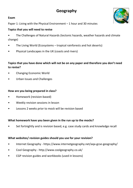# **Geography**

# **Exam**

Paper 1: Living with the Physical Environment – 1 hour and 30 minutes

# **Topics that you will need to revise**

- The Challenges of Natural Hazards (tectonic hazards, weather hazards and climate change)
- The Living World (Ecosystems tropical rainforests and hot deserts)
- Physical Landscapes in the UK (coasts and rivers)

# **Topics that you have done which will not be on any paper and therefore you don't need to revise?**

- Changing Economic World
- Urban Issues and Challenges

# **How are you being prepared in class?**

- Homework (revision-based)
- Weekly revision sessions in lesson
- Lessons 2 weeks prior to mock will be revision based

# **What homework have you been given in the run up to the mocks?**

Set fortnightly and is revision based, e.g. case study cards and knowledge recall

# **What websites/ revision guides should you use for your revision?**

- Internet Geography https://www.internetgeography.net/aqa-gcse-geography/
- Cool Geography http://www.coolgeography.co.uk/
- CGP revision guides and workbooks (used in lessons)

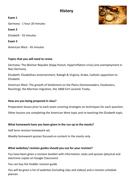# **History**

**Exam 1**

Germany - 1 hour 20 minutes

**Exam 2**

Elizabeth - 55 minutes

**Exam 3**

American West - 45 minutes

# **Topics that you will need to revise**

Germany: The Weimar Republic (Kapp Putsch, Hyperinflation crisis) and unemployment in Nazi Germany.

Elizabeth: Elizabethan entertainment, Raleigh & Virginia, Drake, Catholic opposition to Elizabeth.

American West: The growth of Settlement on the Plains (Homesteaders, Exodusters, Ranching), the Mormon migration, the 1868 Fort Laramie Treaty.

# **How are you being prepared in class?**

Preparation lesson prior to each exam covering strategies on techniques for each question.

Other lessons are completing the American West topic and re-teaching the Elizabeth topic.

# **What homework have you been given in the run up to the mocks?**

Half term revision homework set.

Weekly homework quizzes focused on content in the mocks only.

# **What websites/ revision guides should you use for your revision?**

You have been given a revision booklet with information, tasks and quizzes (physical and electronic copies on Google Classroom)

You can buy the Hodder revision guide

You will be given a list of websites (including clips and videos) and a revision schedule planner.

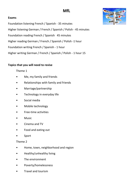# **MfL**



#### **Exams**

Foundation listening French / Spanish - 35 minutes Higher listening German / French / Spanish / Polish - 45 minutes Foundation reading French / Spanish 45 minutes Higher reading German / French / Spanish / Polish -1 hour Foundation writing French / Spanish - 1 hour Higher writing German / French / Spanish / Polish - 1 hour 15

#### **Topics that you will need to revise**

#### Theme 1

- Me, my family and friends
- Relationships with family and friends
- Marriage/partnership
- Technology in everyday life
- Social media
- Mobile technology
- Free-time activities
- Music
- Cinema and TV
- Food and eating out
- **Sport**

#### Theme 2

- Home, town, neighborhood and region
- Healthy/unhealthy living
- The environment
- Poverty/homelessness
- Travel and tourism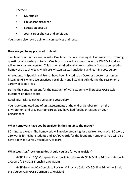# Theme 3

- My studies
- Life at school/college
- Education post-16
- Jobs, career choices and ambitions

You should also revise opinions, connectives and tenses

# **How are you being prepared in class?**

Two lessons out of five are on skills. One lesson is on a listening skill where you do listening questions on a variety of topics. One lesson is a written question with a WAGOLL and you will write your own version. This is then marked against exam criteria. You are completing homework's each week, which are written tasks, translations and learning vocabulary.

All students in Spanish and French have been invited to an October booster session on listening skills where we practiced vocabulary and listening skills during the session on a variety of topic areas.

During the content lessons for the next unit of work students will practice GCSE style questions on these topics.

Recall BIG task review key verbs and vocabulary

You have completed end of unit assessments at the end of October term on the environment and previous topic areas. You have had feedback lessons on your performance.

# **What homework have you been given in the run up to the mocks?**

30 minutes a week -The homework will involve preparing for a written exam with 90 word / 150 words for higher students and 40 / 90 words for the foundation students. You will also have a few key verbs / vocabulary to learn

# **What websites/ revision guides should you use for your revision?**

GCSE French AQA Complete Revision & Practice (with CD & Online Edition) - Grade 9- 1 Course (CGP GCSE French 9-1 Revision)

GCSE German AQA Complete Revision & Practice (with CD &Online Edition) – Grade 9-1 Course (CGP GCSE German 9-1 Revision)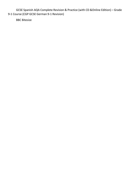GCSE Spanish AQA Complete Revision & Practice (with CD &Online Edition) – Grade 9-1 Course (CGP GCSE German 9-1 Revision)

BBC Bitesize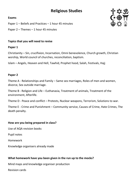# **Religious Studies**

#### **Exams**

Paper 1 – Beliefs and Practices – 1 hour 45 minutes

Paper 2 – Themes – 1 hour 45 minutes

# **Topics that you will need to revise**

# **Paper 1**

Christianity – Sin, crucifixion, Incarnation, Omni benevolence, Church growth, Christian worship, World council of churches, reconciliation, baptism.

Islam – Angels, Heaven and Hell, Tawhid, Prophet hood, Salah, Festivals, Hajj

# **Paper 2**

Theme A - Relationships and Family – Same sex marriages, Roles of men and women, divorce, Sex outside marriage.

Theme B - Religion and Life – Euthanasia, Treatment of animals, Treatment of the environment, Afterlife.

Theme D - Peace and conflict – Protests, Nuclear weapons, Terrorism, Solutions to war.

Theme E - Crime and Punishment – Community service, Causes of Crime, Hate Crimes, The death penalty.

# **How are you being prepared in class?**

Use of AQA revision books

Pupil notes

Homework

Knowledge organisers already made

# **What homework have you been given in the run up to the mocks?**

Mind maps and knowledge organiser production

Revision cards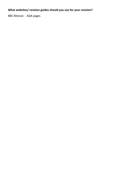# **What websites/ revision guides should you use for your revision?**

BBC Bitesize - AQA pages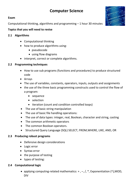# **Computer Science**

#### **Exam**

Computational thinking, algorithms and programming – 1 hour 30 minutes

# **Topics that you will need to revise**

- **2.1 Algorithms**
	- Computational thinking
	- how to produce algorithms using:
		- pseudocode
		- using flow diagrams
	- interpret, correct or complete algorithms.

# **2.2 Programming techniques**

- How to use sub programs (functions and procedures) to produce structured code
- Arrays
- The use of variables, constants, operators, inputs, outputs and assignments
- the use of the three basic programming constructs used to control the flow of a program:
	- sequence
	- selection
	- iteration (count and condition controlled loops)
- The use of basic string manipulation
- The use of basic file handling operations:
- The use of data types: integer, real, Boolean, character and string, casting
- The common arithmetic operators
- The common Boolean operators.
- Structured Query Language (SQL) SELECT, FROM, WHERE, LIKE, AND, OR

# **2.3 Producing robust programs**

- Defensive design considerations
- Logic error
- Syntax error
- the purpose of testing
- types of testing:

# **2.4 Computational logic**

• applying computing-related mathematics:  $+$  ,  $-$ ,  $/$ ,  $*$ , Exponentiation (^),MOD, DIV